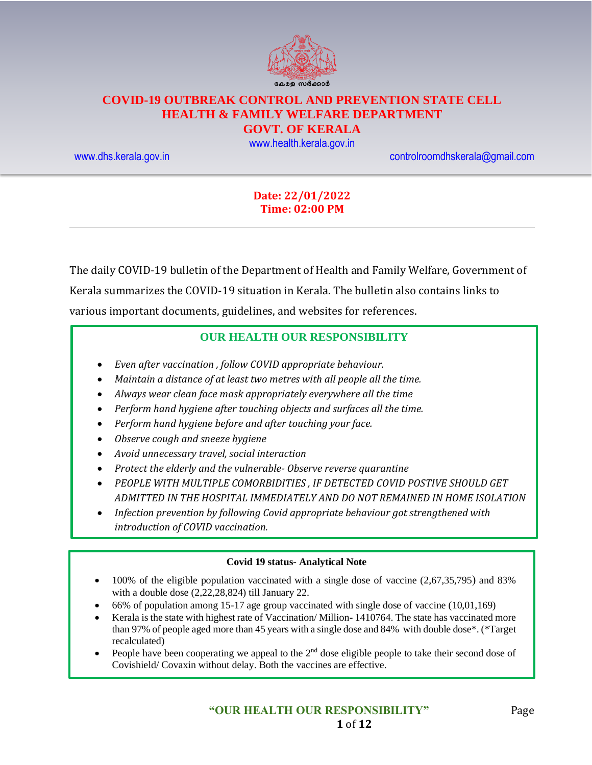

# **COVID-19 OUTBREAK CONTROL AND PREVENTION STATE CELL HEALTH & FAMILY WELFARE DEPARTMENT**

### **GOVT. OF KERALA**

[www.health.kerala.gov.in](file:///D:/My%20Documents/Mahesh%20-%20Dont%20Delete/Assistant%20Surgeon/Aardram%20Mission/Projects/COVID%20Control%20Room/Bulletin%20Format%20New/www.health.kerala.gov.in)

[www.dhs.kerala.gov.in](http://www.dhs.kerala.gov.in/) [controlroomdhskerala@gmail.com](mailto:controlroomdhskerala@gmail.com)

#### **Date: 22/01/2022 Time: 02:00 PM**

The daily COVID-19 bulletin of the Department of Health and Family Welfare, Government of Kerala summarizes the COVID-19 situation in Kerala. The bulletin also contains links to various important documents, guidelines, and websites for references.

#### **OUR HEALTH OUR RESPONSIBILITY**

- *Even after vaccination , follow COVID appropriate behaviour.*
- *Maintain a distance of at least two metres with all people all the time.*
- *Always wear clean face mask appropriately everywhere all the time*
- *Perform hand hygiene after touching objects and surfaces all the time.*
- *Perform hand hygiene before and after touching your face.*
- *Observe cough and sneeze hygiene*
- *Avoid unnecessary travel, social interaction*
- *Protect the elderly and the vulnerable- Observe reverse quarantine*
- *PEOPLE WITH MULTIPLE COMORBIDITIES , IF DETECTED COVID POSTIVE SHOULD GET ADMITTED IN THE HOSPITAL IMMEDIATELY AND DO NOT REMAINED IN HOME ISOLATION*
- *Infection prevention by following Covid appropriate behaviour got strengthened with introduction of COVID vaccination.*

#### **Covid 19 status- Analytical Note**

- 100% of the eligible population vaccinated with a single dose of vaccine (2,67,35,795) and 83% with a double dose (2,22,28,824) till January 22.
- 66% of population among 15-17 age group vaccinated with single dose of vaccine (10,01,169)
- Kerala is the state with highest rate of Vaccination/ Million- 1410764. The state has vaccinated more than 97% of people aged more than 45 years with a single dose and 84% with double dose\*. (\*Target recalculated)
- People have been cooperating we appeal to the 2<sup>nd</sup> dose eligible people to take their second dose of Covishield/ Covaxin without delay. Both the vaccines are effective.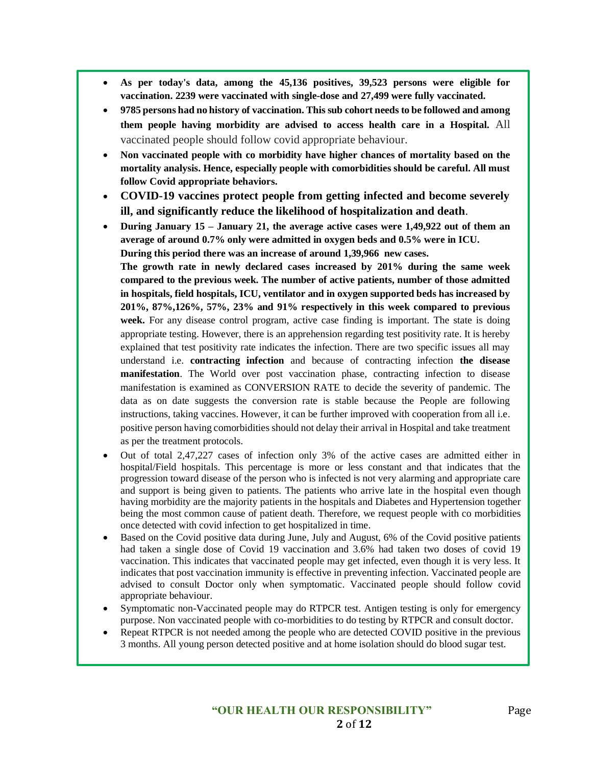- **As per today's data, among the 45,136 positives, 39,523 persons were eligible for vaccination. 2239 were vaccinated with single-dose and 27,499 were fully vaccinated.**
- **9785 persons had no history of vaccination. This sub cohort needs to be followed and among them people having morbidity are advised to access health care in a Hospital.** All vaccinated people should follow covid appropriate behaviour.
- **Non vaccinated people with co morbidity have higher chances of mortality based on the mortality analysis. Hence, especially people with comorbidities should be careful. All must follow Covid appropriate behaviors.**
- **COVID-19 vaccines protect people from getting infected and become severely ill, and significantly reduce the likelihood of hospitalization and death**.
- **During January 15 – January 21, the average active cases were 1,49,922 out of them an average of around 0.7% only were admitted in oxygen beds and 0.5% were in ICU. During this period there was an increase of around 1,39,966 new cases.**

**The growth rate in newly declared cases increased by 201% during the same week compared to the previous week. The number of active patients, number of those admitted in hospitals, field hospitals, ICU, ventilator and in oxygen supported beds has increased by 201%, 87%,126%, 57%, 23% and 91% respectively in this week compared to previous week.** For any disease control program, active case finding is important. The state is doing appropriate testing. However, there is an apprehension regarding test positivity rate. It is hereby explained that test positivity rate indicates the infection. There are two specific issues all may understand i.e. **contracting infection** and because of contracting infection **the disease manifestation**. The World over post vaccination phase, contracting infection to disease manifestation is examined as CONVERSION RATE to decide the severity of pandemic. The data as on date suggests the conversion rate is stable because the People are following instructions, taking vaccines. However, it can be further improved with cooperation from all i.e. positive person having comorbidities should not delay their arrival in Hospital and take treatment as per the treatment protocols.

- Out of total 2,47,227 cases of infection only 3% of the active cases are admitted either in hospital/Field hospitals. This percentage is more or less constant and that indicates that the progression toward disease of the person who is infected is not very alarming and appropriate care and support is being given to patients. The patients who arrive late in the hospital even though having morbidity are the majority patients in the hospitals and Diabetes and Hypertension together being the most common cause of patient death. Therefore, we request people with co morbidities once detected with covid infection to get hospitalized in time.
- Based on the Covid positive data during June, July and August, 6% of the Covid positive patients had taken a single dose of Covid 19 vaccination and 3.6% had taken two doses of covid 19 vaccination. This indicates that vaccinated people may get infected, even though it is very less. It indicates that post vaccination immunity is effective in preventing infection. Vaccinated people are advised to consult Doctor only when symptomatic. Vaccinated people should follow covid appropriate behaviour.
- Symptomatic non-Vaccinated people may do RTPCR test. Antigen testing is only for emergency purpose. Non vaccinated people with co-morbidities to do testing by RTPCR and consult doctor.
- Repeat RTPCR is not needed among the people who are detected COVID positive in the previous 3 months. All young person detected positive and at home isolation should do blood sugar test.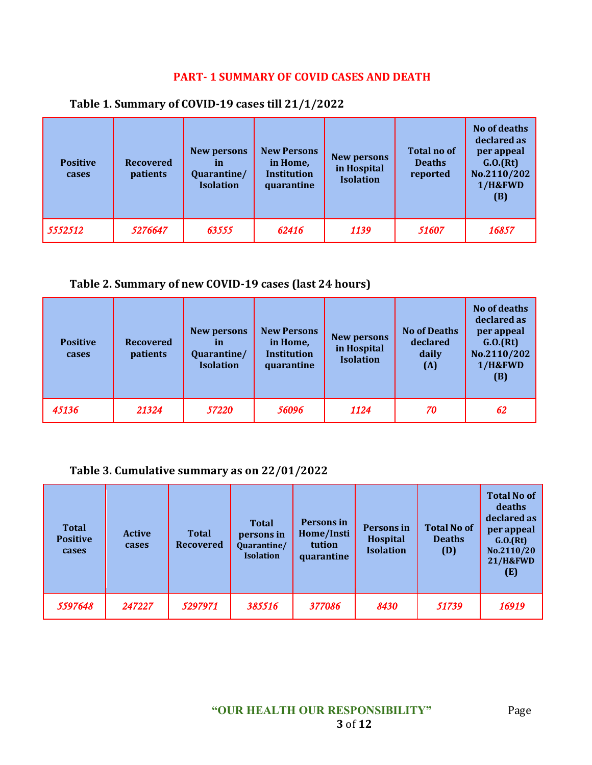### **PART- 1 SUMMARY OF COVID CASES AND DEATH**

| <b>Positive</b><br>cases | <b>Recovered</b><br>patients | New persons<br>īn<br>Quarantine/<br><b>Isolation</b> | <b>New Persons</b><br>in Home,<br><b>Institution</b><br>quarantine | New persons<br>in Hospital<br><b>Isolation</b> | <b>Total no of</b><br><b>Deaths</b><br>reported | No of deaths<br>declared as<br>per appeal<br>G.0.(Rt)<br>No.2110/202<br>1/H&FWD<br>(B) |
|--------------------------|------------------------------|------------------------------------------------------|--------------------------------------------------------------------|------------------------------------------------|-------------------------------------------------|----------------------------------------------------------------------------------------|
| 5552512                  | 5276647                      | 63555                                                | 62416                                                              | 1139                                           | 51607                                           | 16857                                                                                  |

### **Table 1. Summary of COVID-19 cases till 21/1/2022**

### **Table 2. Summary of new COVID-19 cases (last 24 hours)**

| <b>Positive</b><br>cases | <b>Recovered</b><br>patients | New persons<br><i>in</i><br>Quarantine/<br><b>Isolation</b> | <b>New Persons</b><br>in Home,<br><b>Institution</b><br>quarantine | <b>New persons</b><br>in Hospital<br><b>Isolation</b> | <b>No of Deaths</b><br>declared<br>daily<br>(A) | No of deaths<br>declared as<br>per appeal<br>G.0.(Rt)<br>No.2110/202<br>1/H&FWD<br>(B) |
|--------------------------|------------------------------|-------------------------------------------------------------|--------------------------------------------------------------------|-------------------------------------------------------|-------------------------------------------------|----------------------------------------------------------------------------------------|
| 45136                    | 21324                        | 57220                                                       | 56096                                                              | 1124                                                  | 70                                              | 62                                                                                     |

### **Table 3. Cumulative summary as on 22/01/2022**

| <b>Total</b><br><b>Positive</b><br>cases | <b>Active</b><br>cases | <b>Total</b><br><b>Recovered</b> | <b>Total</b><br>persons in<br>Quarantine/<br><b>Isolation</b> | Persons in<br>Home/Insti<br>tution<br>quarantine | Persons in<br><b>Hospital</b><br><b>Isolation</b> | <b>Total No of</b><br><b>Deaths</b><br>(D) | <b>Total No of</b><br>deaths<br>declared as<br>per appeal<br>G.0.(Rt)<br>No.2110/20<br><b>21/H&amp;FWD</b><br>(E) |
|------------------------------------------|------------------------|----------------------------------|---------------------------------------------------------------|--------------------------------------------------|---------------------------------------------------|--------------------------------------------|-------------------------------------------------------------------------------------------------------------------|
| 5597648                                  | 247227                 | 5297971                          | 385516                                                        | 377086                                           | 8430                                              | 51739                                      | 16919                                                                                                             |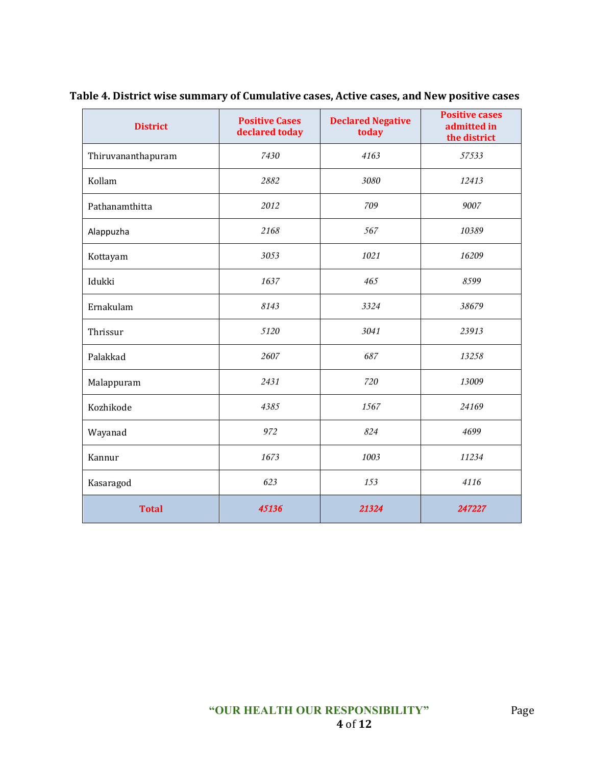| <b>District</b>    | <b>Positive Cases</b><br>declared today | <b>Declared Negative</b><br>today | <b>Positive cases</b><br>admitted in<br>the district |
|--------------------|-----------------------------------------|-----------------------------------|------------------------------------------------------|
| Thiruvananthapuram | 7430                                    | 4163                              | 57533                                                |
| Kollam             | 2882                                    | 3080                              | 12413                                                |
| Pathanamthitta     | 2012                                    | 709                               | 9007                                                 |
| Alappuzha          | 2168                                    | 567                               | 10389                                                |
| Kottayam           | 3053                                    | 1021                              | 16209                                                |
| Idukki             | 1637                                    | 465                               | 8599                                                 |
| Ernakulam          | 8143                                    | 3324                              | 38679                                                |
| Thrissur           | 5120                                    | 3041                              | 23913                                                |
| Palakkad           | 2607                                    | 687                               | 13258                                                |
| Malappuram         | 2431                                    | 720                               | 13009                                                |
| Kozhikode          | 4385                                    | 1567                              | 24169                                                |
| Wayanad            | 972                                     | 824                               | 4699                                                 |
| Kannur             | 1673                                    | 1003                              | 11234                                                |
| Kasaragod          | 623                                     | 153                               | 4116                                                 |
| <b>Total</b>       | 45136                                   | 21324                             | 247227                                               |

**Table 4. District wise summary of Cumulative cases, Active cases, and New positive cases**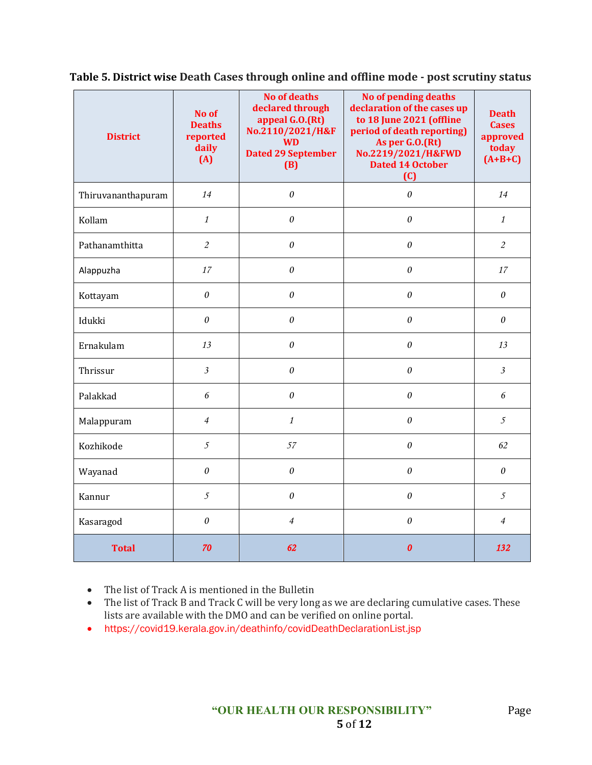| <b>District</b>    | No of<br><b>Deaths</b><br>reported<br>daily<br>(A) | <b>No of deaths</b><br>declared through<br>appeal G.O.(Rt)<br>No.2110/2021/H&F<br><b>WD</b><br><b>Dated 29 September</b><br>(B) | No of pending deaths<br>declaration of the cases up<br>to 18 June 2021 (offline<br>period of death reporting)<br>As per G.O.(Rt)<br>No.2219/2021/H&FWD<br><b>Dated 14 October</b><br>(C) | <b>Death</b><br><b>Cases</b><br>approved<br>today<br>$(A+B+C)$ |
|--------------------|----------------------------------------------------|---------------------------------------------------------------------------------------------------------------------------------|------------------------------------------------------------------------------------------------------------------------------------------------------------------------------------------|----------------------------------------------------------------|
| Thiruvananthapuram | 14                                                 | $\theta$                                                                                                                        | $\theta$                                                                                                                                                                                 | 14                                                             |
| Kollam             | $\mathbf{1}$                                       | $\theta$                                                                                                                        | $\boldsymbol{\theta}$                                                                                                                                                                    | $\mathcal{I}$                                                  |
| Pathanamthitta     | $\overline{c}$                                     | $\theta$                                                                                                                        | $\boldsymbol{\theta}$                                                                                                                                                                    | $\overline{2}$                                                 |
| Alappuzha          | 17                                                 | $\boldsymbol{\theta}$                                                                                                           | $\boldsymbol{\theta}$                                                                                                                                                                    | 17                                                             |
| Kottayam           | $\theta$                                           | $\theta$                                                                                                                        | $\theta$                                                                                                                                                                                 | 0                                                              |
| Idukki             | 0                                                  | $\theta$                                                                                                                        | $\theta$                                                                                                                                                                                 | 0                                                              |
| Ernakulam          | 13                                                 | $\theta$                                                                                                                        | $\theta$                                                                                                                                                                                 | 13                                                             |
| Thrissur           | $\mathfrak{Z}$                                     | $\boldsymbol{\theta}$                                                                                                           | $\theta$                                                                                                                                                                                 | $\mathfrak{Z}$                                                 |
| Palakkad           | 6                                                  | $\theta$                                                                                                                        | $\theta$                                                                                                                                                                                 | 6                                                              |
| Malappuram         | $\overline{4}$                                     | $\mathbf{1}$                                                                                                                    | $\theta$                                                                                                                                                                                 | 5                                                              |
| Kozhikode          | 5                                                  | 57                                                                                                                              | $\boldsymbol{\theta}$                                                                                                                                                                    | 62                                                             |
| Wayanad            | 0                                                  | $\theta$                                                                                                                        | $\theta$                                                                                                                                                                                 | $\boldsymbol{\mathit{0}}$                                      |
| Kannur             | $\mathfrak{I}$                                     | $\theta$                                                                                                                        | $\theta$                                                                                                                                                                                 | 5                                                              |
| Kasaragod          | $\theta$                                           | $\overline{4}$                                                                                                                  | $\theta$                                                                                                                                                                                 | $\overline{4}$                                                 |
| <b>Total</b>       | 70                                                 | 62                                                                                                                              | $\boldsymbol{\theta}$                                                                                                                                                                    | 132                                                            |

**Table 5. District wise Death Cases through online and offline mode - post scrutiny status**

• The list of Track A is mentioned in the Bulletin

- The list of Track B and Track C will be very long as we are declaring cumulative cases. These lists are available with the DMO and can be verified on online portal.
- https://covid19.kerala.gov.in/deathinfo/covidDeathDeclarationList.jsp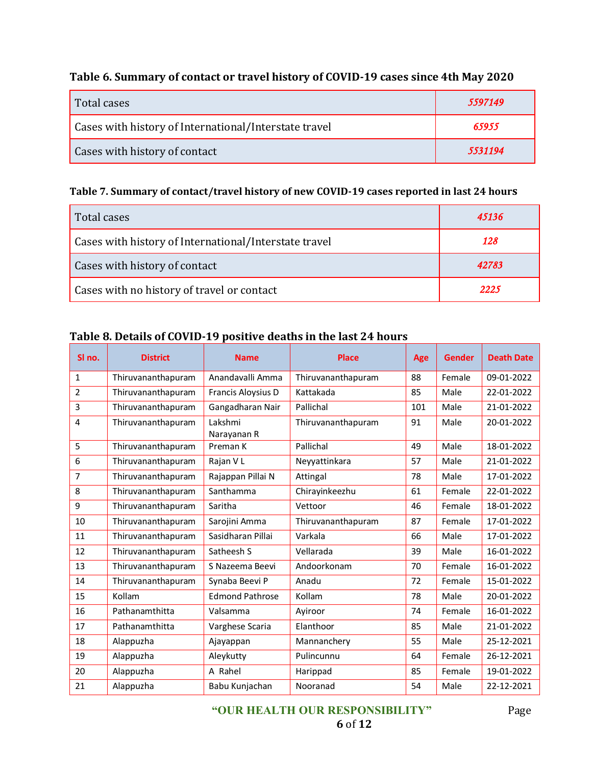## **Table 6. Summary of contact or travel history of COVID-19 cases since 4th May 2020**

| Total cases                                           | 5597149 |
|-------------------------------------------------------|---------|
| Cases with history of International/Interstate travel | 65955   |
| Cases with history of contact                         | 5531194 |

### **Table 7. Summary of contact/travel history of new COVID-19 cases reported in last 24 hours**

| Total cases                                           | 45136      |
|-------------------------------------------------------|------------|
| Cases with history of International/Interstate travel | <b>128</b> |
| Cases with history of contact                         | 42783      |
| Cases with no history of travel or contact            | 2225       |

# **Table 8. Details of COVID-19 positive deaths in the last 24 hours**

| SI no.         | <b>District</b>    | <b>Name</b>            | <b>Place</b>       | Age | <b>Gender</b> | <b>Death Date</b> |
|----------------|--------------------|------------------------|--------------------|-----|---------------|-------------------|
| $\mathbf{1}$   | Thiruvananthapuram | Anandavalli Amma       | Thiruvananthapuram | 88  | Female        | 09-01-2022        |
| $\overline{2}$ | Thiruvananthapuram | Francis Aloysius D     | Kattakada          | 85  | Male          | 22-01-2022        |
| 3              | Thiruvananthapuram | Gangadharan Nair       | Pallichal          | 101 | Male          | 21-01-2022        |
| 4              | Thiruvananthapuram | Lakshmi<br>Narayanan R | Thiruvananthapuram | 91  | Male          | 20-01-2022        |
| 5              | Thiruvananthapuram | Preman K               | Pallichal          | 49  | Male          | 18-01-2022        |
| 6              | Thiruvananthapuram | Rajan VL               | Neyyattinkara      | 57  | Male          | 21-01-2022        |
| $\overline{7}$ | Thiruvananthapuram | Rajappan Pillai N      | Attingal           | 78  | Male          | 17-01-2022        |
| 8              | Thiruvananthapuram | Santhamma              | Chirayinkeezhu     | 61  | Female        | 22-01-2022        |
| 9              | Thiruvananthapuram | Saritha                | Vettoor            | 46  | Female        | 18-01-2022        |
| 10             | Thiruvananthapuram | Sarojini Amma          | Thiruvananthapuram | 87  | Female        | 17-01-2022        |
| 11             | Thiruvananthapuram | Sasidharan Pillai      | Varkala            | 66  | Male          | 17-01-2022        |
| 12             | Thiruvananthapuram | Satheesh S             | Vellarada          | 39  | Male          | 16-01-2022        |
| 13             | Thiruvananthapuram | S Nazeema Beevi        | Andoorkonam        | 70  | Female        | 16-01-2022        |
| 14             | Thiruvananthapuram | Synaba Beevi P         | Anadu              | 72  | Female        | 15-01-2022        |
| 15             | Kollam             | <b>Edmond Pathrose</b> | Kollam             | 78  | Male          | 20-01-2022        |
| 16             | Pathanamthitta     | Valsamma               | Ayiroor            | 74  | Female        | 16-01-2022        |
| 17             | Pathanamthitta     | Varghese Scaria        | Elanthoor          | 85  | Male          | 21-01-2022        |
| 18             | Alappuzha          | Ajayappan              | Mannanchery        | 55  | Male          | 25-12-2021        |
| 19             | Alappuzha          | Aleykutty              | Pulincunnu         | 64  | Female        | 26-12-2021        |
| 20             | Alappuzha          | A Rahel                | Harippad           | 85  | Female        | 19-01-2022        |
| 21             | Alappuzha          | Babu Kunjachan         | Nooranad           | 54  | Male          | 22-12-2021        |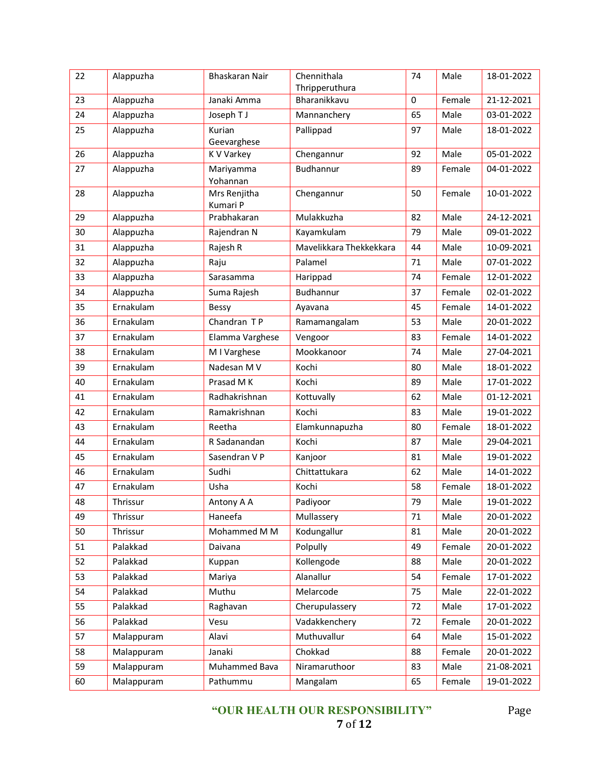| 22 | Alappuzha  | <b>Bhaskaran Nair</b>    | Chennithala<br>Thripperuthura | 74          | Male   | 18-01-2022 |
|----|------------|--------------------------|-------------------------------|-------------|--------|------------|
| 23 | Alappuzha  | Janaki Amma              | Bharanikkavu                  | $\mathbf 0$ | Female | 21-12-2021 |
| 24 | Alappuzha  | Joseph T J               | Mannanchery                   | 65          | Male   | 03-01-2022 |
| 25 | Alappuzha  | Kurian                   | Pallippad                     | 97          | Male   | 18-01-2022 |
|    |            | Geevarghese              |                               |             |        |            |
| 26 | Alappuzha  | K V Varkey               | Chengannur                    | 92          | Male   | 05-01-2022 |
| 27 | Alappuzha  | Mariyamma<br>Yohannan    | Budhannur                     | 89          | Female | 04-01-2022 |
| 28 | Alappuzha  | Mrs Renjitha<br>Kumari P | Chengannur                    | 50          | Female | 10-01-2022 |
| 29 | Alappuzha  | Prabhakaran              | Mulakkuzha                    | 82          | Male   | 24-12-2021 |
| 30 | Alappuzha  | Rajendran N              | Kayamkulam                    | 79          | Male   | 09-01-2022 |
| 31 | Alappuzha  | Rajesh R                 | Mavelikkara Thekkekkara       | 44          | Male   | 10-09-2021 |
| 32 | Alappuzha  | Raju                     | Palamel                       | 71          | Male   | 07-01-2022 |
| 33 | Alappuzha  | Sarasamma                | Harippad                      | 74          | Female | 12-01-2022 |
| 34 | Alappuzha  | Suma Rajesh              | Budhannur                     | 37          | Female | 02-01-2022 |
| 35 | Ernakulam  | Bessy                    | Ayavana                       | 45          | Female | 14-01-2022 |
| 36 | Ernakulam  | Chandran TP              | Ramamangalam                  | 53          | Male   | 20-01-2022 |
| 37 | Ernakulam  | Elamma Varghese          | Vengoor                       | 83          | Female | 14-01-2022 |
| 38 | Ernakulam  | M I Varghese             | Mookkanoor                    | 74          | Male   | 27-04-2021 |
| 39 | Ernakulam  | Nadesan M V              | Kochi                         | 80          | Male   | 18-01-2022 |
| 40 | Ernakulam  | Prasad M K               | Kochi                         | 89          | Male   | 17-01-2022 |
| 41 | Ernakulam  | Radhakrishnan            | Kottuvally                    | 62          | Male   | 01-12-2021 |
| 42 | Ernakulam  | Ramakrishnan             | Kochi                         | 83          | Male   | 19-01-2022 |
| 43 | Ernakulam  | Reetha                   | Elamkunnapuzha                | 80          | Female | 18-01-2022 |
| 44 | Ernakulam  | R Sadanandan             | Kochi                         | 87          | Male   | 29-04-2021 |
| 45 | Ernakulam  | Sasendran V P            | Kanjoor                       | 81          | Male   | 19-01-2022 |
| 46 | Ernakulam  | Sudhi                    | Chittattukara                 | 62          | Male   | 14-01-2022 |
| 47 | Ernakulam  | Usha                     | Kochi                         | 58          | Female | 18-01-2022 |
| 48 | Thrissur   | Antony A A               | Padiyoor                      | 79          | Male   | 19-01-2022 |
| 49 | Thrissur   | Haneefa                  | Mullassery                    | 71          | Male   | 20-01-2022 |
| 50 | Thrissur   | Mohammed M M             | Kodungallur                   | 81          | Male   | 20-01-2022 |
| 51 | Palakkad   | Daivana                  | Polpully                      | 49          | Female | 20-01-2022 |
| 52 | Palakkad   | Kuppan                   | Kollengode                    | 88          | Male   | 20-01-2022 |
| 53 | Palakkad   | Mariya                   | Alanallur                     | 54          | Female | 17-01-2022 |
| 54 | Palakkad   | Muthu                    | Melarcode                     | 75          | Male   | 22-01-2022 |
| 55 | Palakkad   | Raghavan                 | Cherupulassery                | 72          | Male   | 17-01-2022 |
| 56 | Palakkad   | Vesu                     | Vadakkenchery                 | 72          | Female | 20-01-2022 |
| 57 | Malappuram | Alavi                    | Muthuvallur                   | 64          | Male   | 15-01-2022 |
| 58 | Malappuram | Janaki                   | Chokkad                       | 88          | Female | 20-01-2022 |
| 59 | Malappuram | Muhammed Bava            | Niramaruthoor                 | 83          | Male   | 21-08-2021 |
| 60 | Malappuram | Pathummu                 | Mangalam                      | 65          | Female | 19-01-2022 |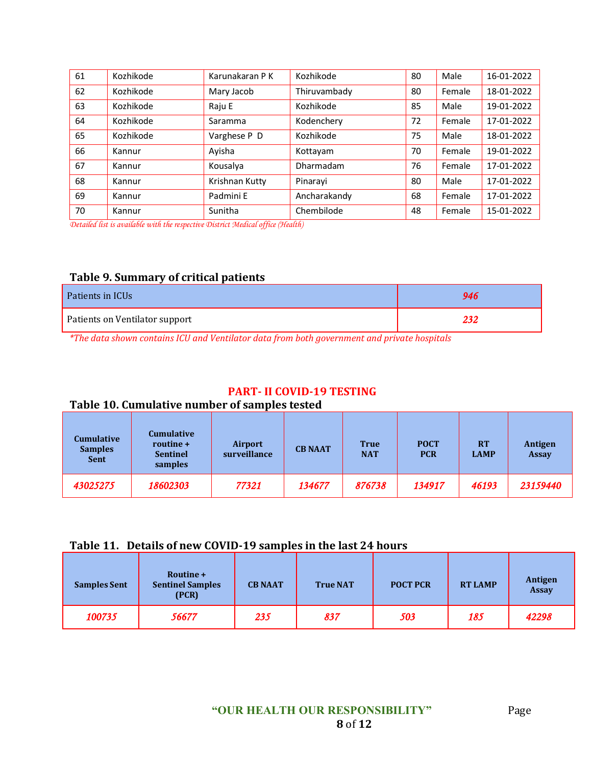| 61 | Kozhikode | Karunakaran P K | Kozhikode    | 80 | Male   | 16-01-2022 |
|----|-----------|-----------------|--------------|----|--------|------------|
| 62 | Kozhikode | Mary Jacob      | Thiruvambady | 80 | Female | 18-01-2022 |
| 63 | Kozhikode | Raju E          | Kozhikode    | 85 | Male   | 19-01-2022 |
| 64 | Kozhikode | Saramma         | Kodenchery   | 72 | Female | 17-01-2022 |
| 65 | Kozhikode | Varghese P D    | Kozhikode    | 75 | Male   | 18-01-2022 |
| 66 | Kannur    | Ayisha          | Kottayam     | 70 | Female | 19-01-2022 |
| 67 | Kannur    | Kousalya        | Dharmadam    | 76 | Female | 17-01-2022 |
| 68 | Kannur    | Krishnan Kutty  | Pinarayi     | 80 | Male   | 17-01-2022 |
| 69 | Kannur    | Padmini E       | Ancharakandy | 68 | Female | 17-01-2022 |
| 70 | Kannur    | Sunitha         | Chembilode   | 48 | Female | 15-01-2022 |

*Detailed list is available with the respective District Medical office (Health)*

#### **Table 9. Summary of critical patients**

| Patients in ICUs               | 946 |
|--------------------------------|-----|
| Patients on Ventilator support |     |

*\*The data shown contains ICU and Ventilator data from both government and private hospitals*

#### **PART- II COVID-19 TESTING**

### **Table 10. Cumulative number of samples tested**

| <b>Cumulative</b><br><b>Samples</b><br><b>Sent</b> | <b>Cumulative</b><br>routine +<br><b>Sentinel</b><br>samples | <b>Airport</b><br>surveillance | <b>CB NAAT</b> | <b>True</b><br><b>NAT</b> | <b>POCT</b><br><b>PCR</b> | <b>RT</b><br><b>LAMP</b> | Antigen<br><b>Assay</b> |
|----------------------------------------------------|--------------------------------------------------------------|--------------------------------|----------------|---------------------------|---------------------------|--------------------------|-------------------------|
| 43025275                                           | 18602303                                                     | 77321                          | 134677         | 876738                    | 134917                    | 46193                    | 23159440                |

### **Table 11. Details of new COVID-19 samples in the last 24 hours**

| <b>Samples Sent</b> | Routine +<br><b>Sentinel Samples</b><br>(PCR) | <b>CB NAAT</b> | <b>True NAT</b> | <b>POCT PCR</b> | <b>RT LAMP</b> | <b>Antigen</b><br><b>Assay</b> |
|---------------------|-----------------------------------------------|----------------|-----------------|-----------------|----------------|--------------------------------|
| 100735              | 56677                                         | 235            | 837             | 503             | 185            | 42298                          |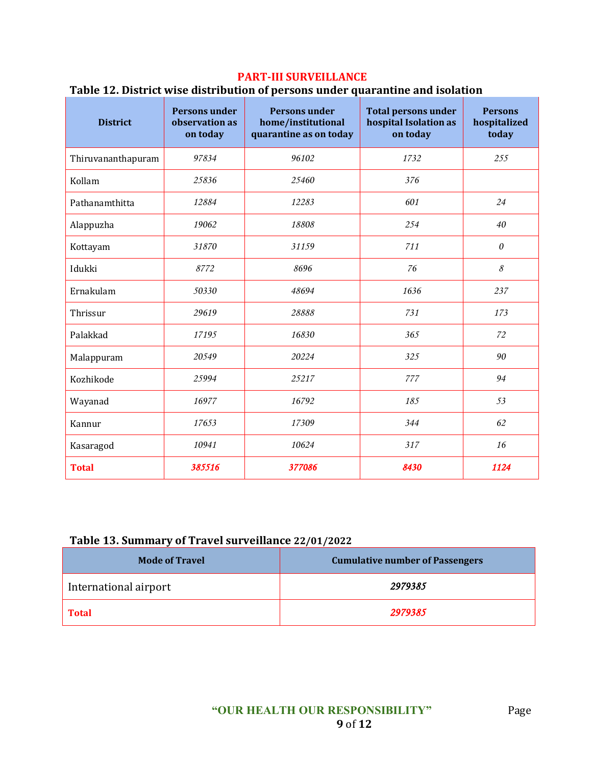### **PART-III SURVEILLANCE**

### **Table 12. District wise distribution of persons under quarantine and isolation**

| <b>District</b>    | <b>Persons under</b><br>observation as<br>on today | <b>Persons under</b><br>home/institutional<br>quarantine as on today | <b>Total persons under</b><br>hospital Isolation as<br>on today | <b>Persons</b><br>hospitalized<br>today |
|--------------------|----------------------------------------------------|----------------------------------------------------------------------|-----------------------------------------------------------------|-----------------------------------------|
| Thiruvananthapuram | 97834                                              | 96102                                                                | 1732                                                            | 255                                     |
| Kollam             | 25836                                              | 25460                                                                | 376                                                             |                                         |
| Pathanamthitta     | 12884                                              | 12283                                                                | 601                                                             | 24                                      |
| Alappuzha          | 19062                                              | 18808                                                                | 254                                                             | 40                                      |
| Kottayam           | 31870                                              | 31159                                                                | 711                                                             | $\boldsymbol{\theta}$                   |
| Idukki             | 8772                                               | 8696                                                                 | 76                                                              | $\mathcal S$                            |
| Ernakulam          | 50330                                              | 48694                                                                | 1636                                                            | 237                                     |
| Thrissur           | 29619                                              | 28888                                                                | 731                                                             | 173                                     |
| Palakkad           | 17195                                              | 16830                                                                | 365                                                             | 72                                      |
| Malappuram         | 20549                                              | 20224                                                                | 325                                                             | 90                                      |
| Kozhikode          | 25994                                              | 25217                                                                | 777                                                             | 94                                      |
| Wayanad            | 16977                                              | 16792                                                                | 185                                                             | 53                                      |
| Kannur             | 17653                                              | 17309                                                                | 344                                                             | 62                                      |
| Kasaragod          | 10941                                              | 10624                                                                | 317                                                             | 16                                      |
| <b>Total</b>       | 385516                                             | 377086                                                               | 8430                                                            | 1124                                    |

### **Table 13. Summary of Travel surveillance 22/01/2022**

| <b>Mode of Travel</b> | <b>Cumulative number of Passengers</b> |  |
|-----------------------|----------------------------------------|--|
| International airport | 2979385                                |  |
| <b>Total</b>          | 2979385                                |  |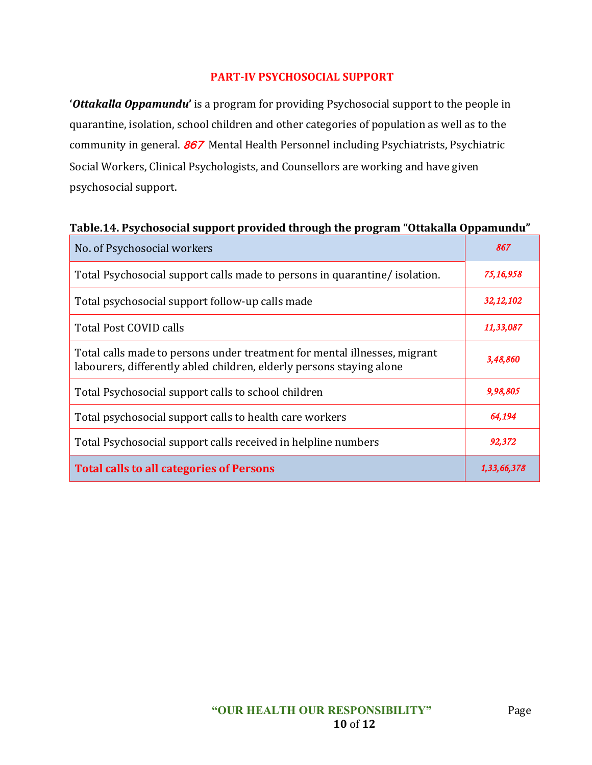### **PART-IV PSYCHOSOCIAL SUPPORT**

**'***Ottakalla Oppamundu***'** is a program for providing Psychosocial support to the people in quarantine, isolation, school children and other categories of population as well as to the community in general. **867** Mental Health Personnel including Psychiatrists, Psychiatric Social Workers, Clinical Psychologists, and Counsellors are working and have given psychosocial support.

#### **Table.14. Psychosocial support provided through the program "Ottakalla Oppamundu"**

| No. of Psychosocial workers                                                                                                                       | 867         |
|---------------------------------------------------------------------------------------------------------------------------------------------------|-------------|
| Total Psychosocial support calls made to persons in quarantine/isolation.                                                                         | 75,16,958   |
| Total psychosocial support follow-up calls made                                                                                                   | 32, 12, 102 |
| Total Post COVID calls                                                                                                                            | 11,33,087   |
| Total calls made to persons under treatment for mental illnesses, migrant<br>labourers, differently abled children, elderly persons staying alone | 3,48,860    |
| Total Psychosocial support calls to school children                                                                                               | 9,98,805    |
| Total psychosocial support calls to health care workers                                                                                           | 64,194      |
| Total Psychosocial support calls received in helpline numbers                                                                                     | 92,372      |
| <b>Total calls to all categories of Persons</b>                                                                                                   | 1,33,66,378 |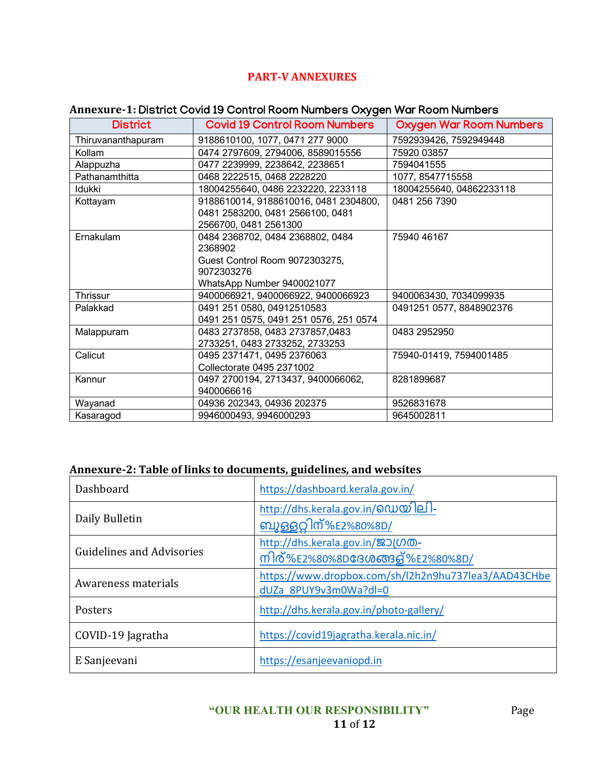## **PART-V ANNEXURES**

### **Annexure-1:** District Covid 19 Control Room Numbers Oxygen War Room Numbers

| <b>District</b>    | <b>Covid 19 Control Room Numbers</b>   | <b>Oxygen War Room Numbers</b> |
|--------------------|----------------------------------------|--------------------------------|
| Thiruvananthapuram | 9188610100, 1077, 0471 277 9000        | 7592939426, 7592949448         |
| Kollam             | 0474 2797609, 2794006, 8589015556      | 75920 03857                    |
| Alappuzha          | 0477 2239999, 2238642, 2238651         | 7594041555                     |
| Pathanamthitta     | 0468 2222515, 0468 2228220             | 1077, 8547715558               |
| Idukki             | 18004255640, 0486 2232220, 2233118     | 18004255640, 04862233118       |
| Kottayam           | 9188610014, 9188610016, 0481 2304800,  | 0481 256 7390                  |
|                    | 0481 2583200, 0481 2566100, 0481       |                                |
|                    | 2566700, 0481 2561300                  |                                |
| Ernakulam          | 0484 2368702, 0484 2368802, 0484       | 75940 46167                    |
|                    | 2368902                                |                                |
|                    | Guest Control Room 9072303275,         |                                |
|                    | 9072303276                             |                                |
|                    | WhatsApp Number 9400021077             |                                |
| Thrissur           | 9400066921, 9400066922, 9400066923     | 9400063430, 7034099935         |
| Palakkad           | 0491 251 0580, 04912510583             | 0491251 0577, 8848902376       |
|                    | 0491 251 0575, 0491 251 0576, 251 0574 |                                |
| Malappuram         | 0483 2737858, 0483 2737857,0483        | 0483 2952950                   |
|                    | 2733251, 0483 2733252, 2733253         |                                |
| Calicut            | 0495 2371471, 0495 2376063             | 75940-01419, 7594001485        |
|                    | Collectorate 0495 2371002              |                                |
| Kannur             | 0497 2700194, 2713437, 9400066062,     | 8281899687                     |
|                    | 9400066616                             |                                |
| Wayanad            | 04936 202343, 04936 202375             | 9526831678                     |
| Kasaragod          | 9946000493, 9946000293                 | 9645002811                     |

### **Annexure-2: Table of links to documents, guidelines, and websites**

| Dashboard                        | https://dashboard.kerala.gov.in/                                              |  |  |
|----------------------------------|-------------------------------------------------------------------------------|--|--|
| Daily Bulletin                   | http://dhs.kerala.gov.in/@ഡയിലി-<br>ബുള്ളറ്റിന്%E2%80%8D/                     |  |  |
| <b>Guidelines and Advisories</b> | http://dhs.kerala.gov.in/ஜつ(のの-<br>നിര്%E2%80%8D <b>ദേശ</b> ങ്ങള്%E2%80%8D/   |  |  |
| Awareness materials              | https://www.dropbox.com/sh/l2h2n9hu737lea3/AAD43CHbe<br>dUZa 8PUY9v3m0Wa?dl=0 |  |  |
| Posters                          | http://dhs.kerala.gov.in/photo-gallery/                                       |  |  |
| COVID-19 Jagratha                | https://covid19jagratha.kerala.nic.in/                                        |  |  |
| E Sanjeevani                     | https://esanjeevaniopd.in                                                     |  |  |